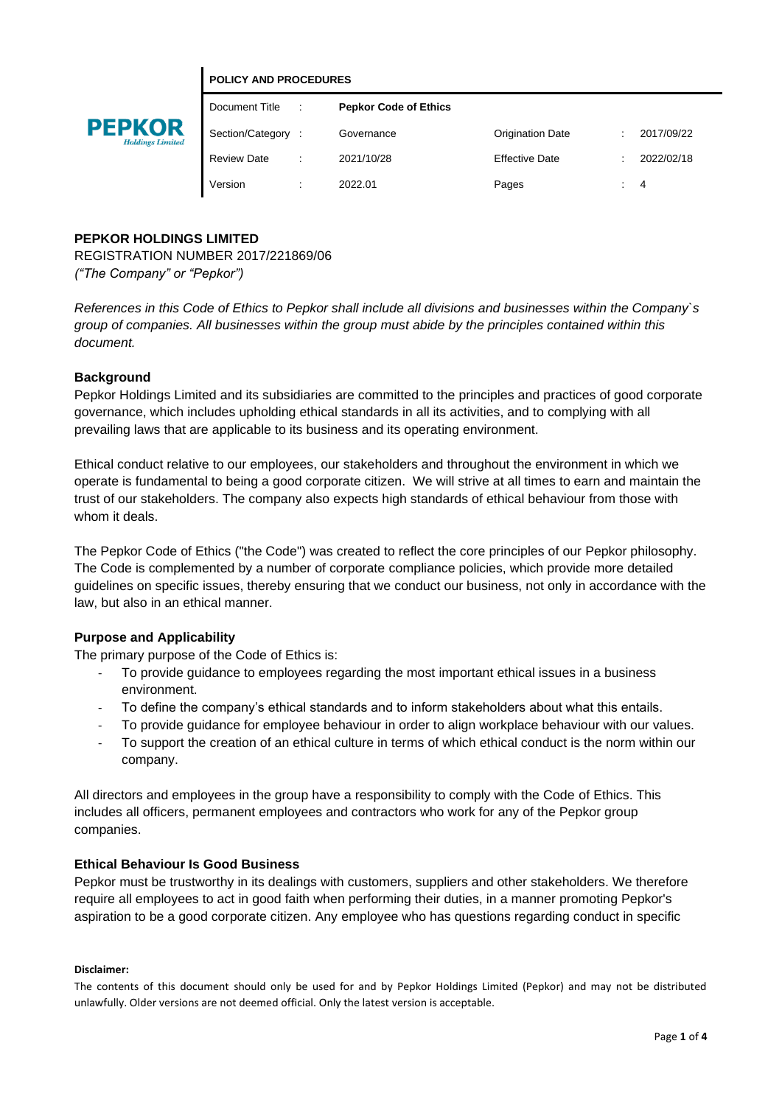



# Document Title : **Pepkor Code of Ethics** Section/Category : Governance Crigination Date : 2017/09/22 Review Date : 2021/10/28 Effective Date : 2022/02/18 Version : 2022.01 Pages : 4

# **PEPKOR HOLDINGS LIMITED**

REGISTRATION NUMBER 2017/221869/06 *("The Company" or "Pepkor")*

*References in this Code of Ethics to Pepkor shall include all divisions and businesses within the Company`s group of companies. All businesses within the group must abide by the principles contained within this document.*

# **Background**

Pepkor Holdings Limited and its subsidiaries are committed to the principles and practices of good corporate governance, which includes upholding ethical standards in all its activities, and to complying with all prevailing laws that are applicable to its business and its operating environment.

Ethical conduct relative to our employees, our stakeholders and throughout the environment in which we operate is fundamental to being a good corporate citizen. We will strive at all times to earn and maintain the trust of our stakeholders. The company also expects high standards of ethical behaviour from those with whom it deals.

The Pepkor Code of Ethics ("the Code") was created to reflect the core principles of our Pepkor philosophy. The Code is complemented by a number of corporate compliance policies, which provide more detailed guidelines on specific issues, thereby ensuring that we conduct our business, not only in accordance with the law, but also in an ethical manner.

# **Purpose and Applicability**

The primary purpose of the Code of Ethics is:

- To provide guidance to employees regarding the most important ethical issues in a business environment.
- To define the company's ethical standards and to inform stakeholders about what this entails.
- To provide guidance for employee behaviour in order to align workplace behaviour with our values.
- To support the creation of an ethical culture in terms of which ethical conduct is the norm within our company.

All directors and employees in the group have a responsibility to comply with the Code of Ethics. This includes all officers, permanent employees and contractors who work for any of the Pepkor group companies.

# **Ethical Behaviour Is Good Business**

Pepkor must be trustworthy in its dealings with customers, suppliers and other stakeholders. We therefore require all employees to act in good faith when performing their duties, in a manner promoting Pepkor's aspiration to be a good corporate citizen. Any employee who has questions regarding conduct in specific

## **Disclaimer:**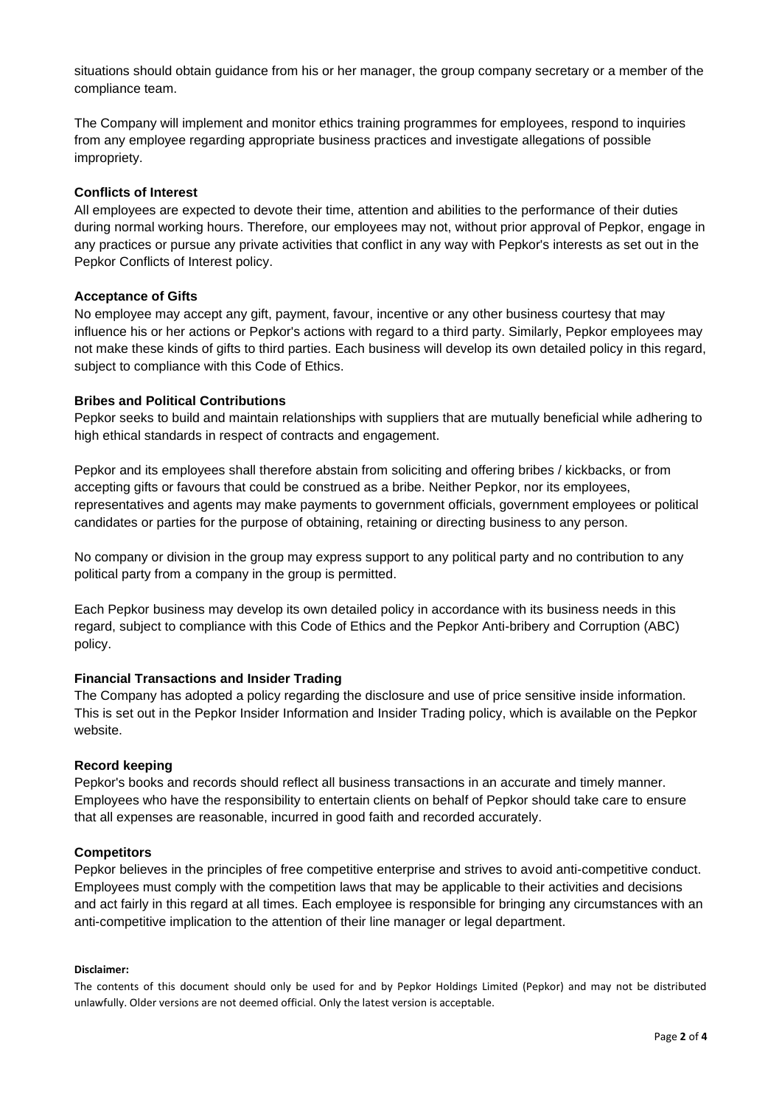situations should obtain guidance from his or her manager, the group company secretary or a member of the compliance team.

The Company will implement and monitor ethics training programmes for employees, respond to inquiries from any employee regarding appropriate business practices and investigate allegations of possible impropriety.

## **Conflicts of Interest**

All employees are expected to devote their time, attention and abilities to the performance of their duties during normal working hours. Therefore, our employees may not, without prior approval of Pepkor, engage in any practices or pursue any private activities that conflict in any way with Pepkor's interests as set out in the Pepkor Conflicts of Interest policy.

## **Acceptance of Gifts**

No employee may accept any gift, payment, favour, incentive or any other business courtesy that may influence his or her actions or Pepkor's actions with regard to a third party. Similarly, Pepkor employees may not make these kinds of gifts to third parties. Each business will develop its own detailed policy in this regard, subject to compliance with this Code of Ethics.

## **Bribes and Political Contributions**

Pepkor seeks to build and maintain relationships with suppliers that are mutually beneficial while adhering to high ethical standards in respect of contracts and engagement.

Pepkor and its employees shall therefore abstain from soliciting and offering bribes / kickbacks, or from accepting gifts or favours that could be construed as a bribe. Neither Pepkor, nor its employees, representatives and agents may make payments to government officials, government employees or political candidates or parties for the purpose of obtaining, retaining or directing business to any person.

No company or division in the group may express support to any political party and no contribution to any political party from a company in the group is permitted.

Each Pepkor business may develop its own detailed policy in accordance with its business needs in this regard, subject to compliance with this Code of Ethics and the Pepkor Anti-bribery and Corruption (ABC) policy.

## **Financial Transactions and Insider Trading**

The Company has adopted a policy regarding the disclosure and use of price sensitive inside information. This is set out in the Pepkor Insider Information and Insider Trading policy, which is available on the Pepkor website.

## **Record keeping**

Pepkor's books and records should reflect all business transactions in an accurate and timely manner. Employees who have the responsibility to entertain clients on behalf of Pepkor should take care to ensure that all expenses are reasonable, incurred in good faith and recorded accurately.

## **Competitors**

Pepkor believes in the principles of free competitive enterprise and strives to avoid anti-competitive conduct. Employees must comply with the competition laws that may be applicable to their activities and decisions and act fairly in this regard at all times. Each employee is responsible for bringing any circumstances with an anti-competitive implication to the attention of their line manager or legal department.

#### **Disclaimer:**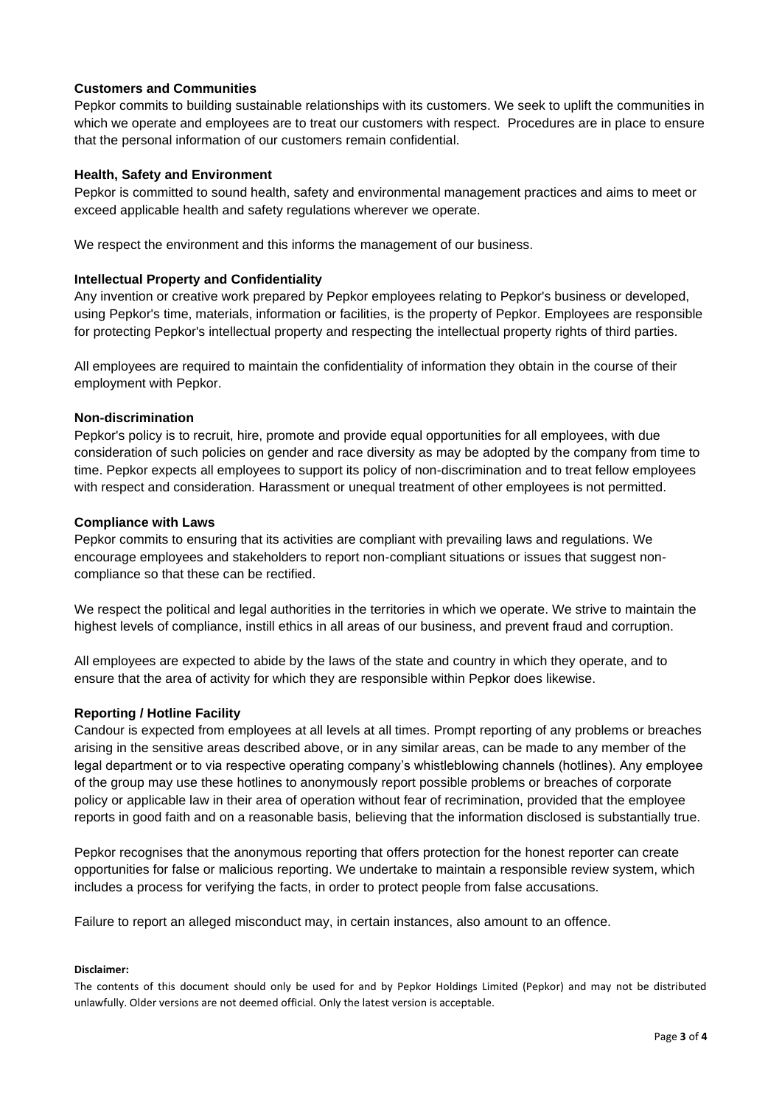# **Customers and Communities**

Pepkor commits to building sustainable relationships with its customers. We seek to uplift the communities in which we operate and employees are to treat our customers with respect. Procedures are in place to ensure that the personal information of our customers remain confidential.

## **Health, Safety and Environment**

Pepkor is committed to sound health, safety and environmental management practices and aims to meet or exceed applicable health and safety regulations wherever we operate.

We respect the environment and this informs the management of our business.

## **Intellectual Property and Confidentiality**

Any invention or creative work prepared by Pepkor employees relating to Pepkor's business or developed, using Pepkor's time, materials, information or facilities, is the property of Pepkor. Employees are responsible for protecting Pepkor's intellectual property and respecting the intellectual property rights of third parties.

All employees are required to maintain the confidentiality of information they obtain in the course of their employment with Pepkor.

## **Non-discrimination**

Pepkor's policy is to recruit, hire, promote and provide equal opportunities for all employees, with due consideration of such policies on gender and race diversity as may be adopted by the company from time to time. Pepkor expects all employees to support its policy of non-discrimination and to treat fellow employees with respect and consideration. Harassment or unequal treatment of other employees is not permitted.

## **Compliance with Laws**

Pepkor commits to ensuring that its activities are compliant with prevailing laws and regulations. We encourage employees and stakeholders to report non-compliant situations or issues that suggest noncompliance so that these can be rectified.

We respect the political and legal authorities in the territories in which we operate. We strive to maintain the highest levels of compliance, instill ethics in all areas of our business, and prevent fraud and corruption.

All employees are expected to abide by the laws of the state and country in which they operate, and to ensure that the area of activity for which they are responsible within Pepkor does likewise.

## **Reporting / Hotline Facility**

Candour is expected from employees at all levels at all times. Prompt reporting of any problems or breaches arising in the sensitive areas described above, or in any similar areas, can be made to any member of the legal department or to via respective operating company's whistleblowing channels (hotlines). Any employee of the group may use these hotlines to anonymously report possible problems or breaches of corporate policy or applicable law in their area of operation without fear of recrimination, provided that the employee reports in good faith and on a reasonable basis, believing that the information disclosed is substantially true.

Pepkor recognises that the anonymous reporting that offers protection for the honest reporter can create opportunities for false or malicious reporting. We undertake to maintain a responsible review system, which includes a process for verifying the facts, in order to protect people from false accusations.

Failure to report an alleged misconduct may, in certain instances, also amount to an offence.

# **Disclaimer:**